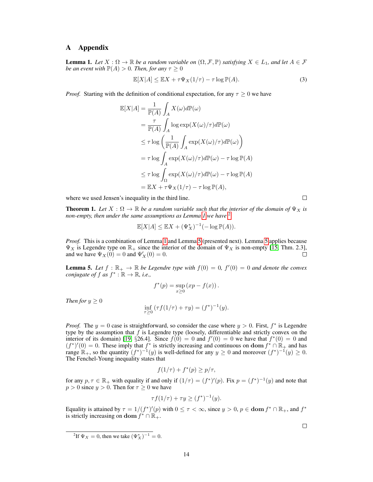## A Appendix

**Lemma 1.** Let  $X : \Omega \to \mathbb{R}$  be a random variable on  $(\Omega, \mathcal{F}, \mathbb{P})$  satisfying  $X \in L_1$ , and let  $A \in \mathcal{F}$ *be an event with*  $\mathbb{P}(A) > 0$ *. Then, for any*  $\tau \geq 0$ 

$$
\mathbb{E}[X|A] \le \mathbb{E}X + \tau \Psi_X(1/\tau) - \tau \log \mathbb{P}(A). \tag{3}
$$

*Proof.* Starting with the definition of conditional expectation, for any  $\tau \geq 0$  we have

$$
\mathbb{E}[X|A] = \frac{1}{\mathbb{P}(A)} \int_A X(\omega) d\mathbb{P}(\omega)
$$
  
\n
$$
= \frac{\tau}{\mathbb{P}(A)} \int_A \log \exp(X(\omega)/\tau) d\mathbb{P}(\omega)
$$
  
\n
$$
\leq \tau \log \left( \frac{1}{\mathbb{P}(A)} \int_A \exp(X(\omega)/\tau) d\mathbb{P}(\omega) \right)
$$
  
\n
$$
= \tau \log \int_A \exp(X(\omega)/\tau) d\mathbb{P}(\omega) - \tau \log \mathbb{P}(A)
$$
  
\n
$$
\leq \tau \log \int_{\Omega} \exp(X(\omega)/\tau) d\mathbb{P}(\omega) - \tau \log \mathbb{P}(A)
$$
  
\n
$$
= \mathbb{E}X + \tau \Psi_X(1/\tau) - \tau \log \mathbb{P}(A),
$$

where we used Jensen's inequality in the third line.

**Theorem 1.** Let  $X : \Omega \to \mathbb{R}$  be a random variable such that the interior of the domain of  $\Psi_X$  is *non-empty, then under the same assumptions as Lemma [1](#page--1-0) we have* [2](#page-0-0)

$$
\mathbb{E}[X|A] \le \mathbb{E}X + (\Psi_X^*)^{-1}(-\log \mathbb{P}(A)).
$$

*Proof.* This is a combination of Lemma [1](#page--1-0) and Lemma [5](#page-0-1) (presented next). Lemma 5 applies because  $\Psi_X$  is Legendre type on  $\mathbb{R}_+$  since the interior of the domain of  $\Psi_X$  is non-empty [\[15,](#page--1-1) Thm. 2.3], and we have  $\Psi_X(0) = 0$  and  $\Psi'_X(0) = 0$ .  $\Box$ 

<span id="page-0-1"></span>**Lemma 5.** Let  $f : \mathbb{R}_+ \to \mathbb{R}$  be Legendre type with  $f(0) = 0$ ,  $f'(0) = 0$  and denote the convex *conjugate of*  $f$  *as*  $f^* : \mathbb{R} \to \mathbb{R}$ *, i.e.,* 

$$
f^*(p) = \sup_{x \ge 0} (xp - f(x)).
$$

*Then for*  $y \geq 0$ 

$$
\inf_{\tau \ge 0} (\tau f(1/\tau) + \tau y) = (f^*)^{-1}(y).
$$

*Proof.* The  $y = 0$  case is straightforward, so consider the case where  $y > 0$ . First,  $f^*$  is Legendre type by the assumption that  $f$  is Legendre type (loosely, differentiable and strictly convex on the interior of its domain) [\[19,](#page--1-2) §26.4]. Since  $f(0) = 0$  and  $f'(0) = 0$  we have that  $f^*(0) = 0$  and  $(f^*)'(0) = 0$ . These imply that  $f^*$  is strictly increasing and continuous on dom  $f^* \cap \mathbb{R}_+$  and has range  $\mathbb{R}_+$ , so the quantity  $(f^*)^{-1}(y)$  is well-defined for any  $y \ge 0$  and moreover  $(f^*)^{-1}(y) \ge 0$ . The Fenchel-Young inequality states that

$$
f(1/\tau) + f^*(p) \ge p/\tau,
$$

for any  $p, \tau \in \mathbb{R}_+$  with equality if and only if  $(1/\tau) = (f^*)'(p)$ . Fix  $p = (f^*)^{-1}(y)$  and note that  $p > 0$  since  $y > 0$ . Then for  $\tau > 0$  we have

$$
\tau f(1/\tau) + \tau y \ge (f^*)^{-1}(y).
$$

Equality is attained by  $\tau = 1/(f^*)'(p)$  with  $0 \le \tau < \infty$ , since  $y > 0$ ,  $p \in \text{dom } f^* \cap \mathbb{R}_+$ , and  $f^*$ is strictly increasing on dom  $f^* \cap \mathbb{R}_+$ .

 $\Box$ 

 $\Box$ 

<span id="page-0-0"></span><sup>&</sup>lt;sup>2</sup>If  $\Psi_X = 0$ , then we take  $(\Psi_X^*)^{-1} = 0$ .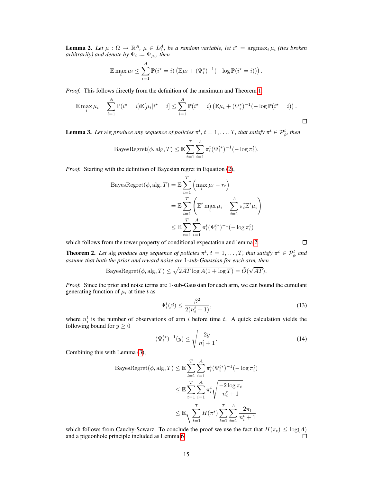**Lemma 2.** Let  $\mu : \Omega \to \mathbb{R}^A$ ,  $\mu \in L_1^A$ , be a random variable, let  $i^* = \argmax_i \mu_i$  (ties broken  $arbitrarily)$  and denote by  $\Psi_i \coloneqq \Psi_{\mu_i}$ , then

$$
\mathbb{E} \max_{i} \mu_i \leq \sum_{i=1}^{A} \mathbb{P}(i^* = i) \left( \mathbb{E} \mu_i + (\Psi_i^*)^{-1} (-\log \mathbb{P}(i^* = i)) \right).
$$

*Proof.* This follows directly from the definition of the maximum and Theorem [1.](#page--1-3)

$$
\mathbb{E} \max_{i} \mu_{i} = \sum_{i=1}^{A} \mathbb{P}(i^{*} = i) \mathbb{E}[\mu_{i} | i^{*} = i] \leq \sum_{i=1}^{A} \mathbb{P}(i^{*} = i) \left( \mathbb{E} \mu_{i} + (\Psi_{i}^{*})^{-1} (-\log \mathbb{P}(i^{*} = i)\right).
$$

**Lemma 3.** Let alg produce any sequence of policies  $\pi^t$ ,  $t = 1, ..., T$ , that satisfy  $\pi^t \in \mathcal{P}_{\phi}^t$ , then

BayesRegret
$$
(\phi, \text{alg}, T) \leq \mathbb{E} \sum_{t=1}^{T} \sum_{i=1}^{A} \pi_i^t (\Psi_i^{t*})^{-1} (-\log \pi_i^t).
$$

*Proof.* Starting with the definition of Bayesian regret in Equation [\(2\)](#page--1-4),

BayesRegret
$$
(\phi, \text{alg}, T)
$$
 =  $\mathbb{E} \sum_{t=1}^{T} \left( \max_{i} \mu_i - r_t \right)$   
\n=  $\mathbb{E} \sum_{t=1}^{T} \left( \mathbb{E}^t \max_{i} \mu_i - \sum_{i=1}^{A} \pi_i^t \mathbb{E}^t \mu_i \right)$   
\n $\leq \mathbb{E} \sum_{t=1}^{T} \sum_{i=1}^{A} \pi_i^t (\Psi_i^{t*})^{-1} (-\log \pi_i^t)$ 

which follows from the tower property of conditional expectation and lemma [2.](#page--1-5)

**Theorem 2.** Let alg produce any sequence of policies  $\pi^t$ ,  $t = 1, \ldots, T$ , that satisfy  $\pi^t \in \mathcal{P}_\phi^t$  and *assume that both the prior and reward noise are* 1*-sub-Gaussian for each arm, then*

$$
\text{BayesRegret}(\phi, \text{alg}, T) \le \sqrt{2AT \log A (1 + \log T)} = \tilde{O}(\sqrt{AT}).
$$

*Proof.* Since the prior and noise terms are 1-sub-Gaussian for each arm, we can bound the cumulant generating function of  $\mu_i$  at time t as

$$
\Psi_i^t(\beta) \le \frac{\beta^2}{2(n_i^t + 1)},\tag{13}
$$

where  $n_i^t$  is the number of observations of arm i before time t. A quick calculation yields the following bound for  $y \geq 0$ 

$$
(\Psi_i^{t*})^{-1}(y) \le \sqrt{\frac{2y}{n_i^t + 1}}.\tag{14}
$$

Combining this with Lemma [\(3\)](#page--1-6),

BayesRegret
$$
(\phi, \text{alg}, T) \leq \mathbb{E} \sum_{t=1}^{T} \sum_{i=1}^{A} \pi_i^t (\Psi_i^{t*})^{-1} (-\log \pi_i^t)
$$
  

$$
\leq \mathbb{E} \sum_{t=1}^{T} \sum_{i=1}^{A} \pi_i^t \sqrt{\frac{-2 \log \pi_t}{n_i^t + 1}}
$$

$$
\leq \mathbb{E} \sqrt{\sum_{t=1}^{T} H(\pi^t) \sum_{t=1}^{T} \sum_{i=1}^{A} \frac{2 \pi_t}{n_i^t + 1}}
$$

which follows from Cauchy-Scwarz. To conclude the proof we use the fact that  $H(\pi_t) \leq \log(A)$ and a pigeonhole principle included as Lemma [6.](#page-2-0)  $\Box$ 

 $\Box$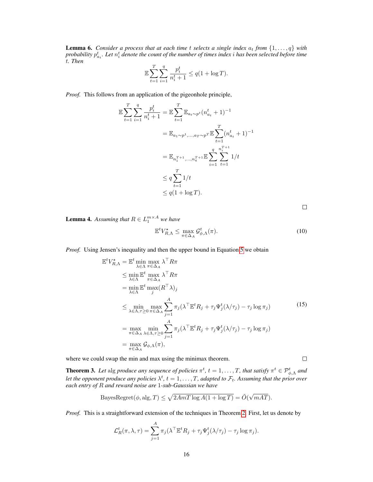<span id="page-2-0"></span>**Lemma 6.** *Consider a process that at each time t selects a single index*  $a_t$  *from*  $\{1, \ldots, q\}$  *with* probability  $p^t_{a_t}.$  Let  $n^t_i$  denote the count of the number of times index  $i$  has been selected before time t*. Then*

$$
\mathbb{E}\sum_{t=1}^{T} \sum_{i=1}^{q} \frac{p_i^t}{n_i^t + 1} \le q(1 + \log T).
$$

*Proof.* This follows from an application of the pigeonhole principle,

$$
\mathbb{E}\sum_{t=1}^{T}\sum_{i=1}^{q}\frac{p_i^t}{n_i^t+1} = \mathbb{E}\sum_{t=1}^{T}\mathbb{E}_{a_t \sim p^t}(n_{a_t}^t+1)^{-1}
$$

$$
= \mathbb{E}_{a_1 \sim p^1, \dots, a_T \sim p^T} \mathbb{E}\sum_{t=1}^{T}(n_{a_t}^t+1)^{-1}
$$

$$
= \mathbb{E}_{n_1^{T+1}, \dots, n_q^{T+1}} \mathbb{E}\sum_{i=1}^{q}\sum_{t=1}^{n_i^{T+1}}1/t
$$

$$
\leq q \sum_{t=1}^{T} 1/t
$$

$$
\leq q(1 + \log T).
$$

 $\Box$ 

**Lemma 4.** Assuming that  $R \in L_1^{m \times A}$  we have

$$
\mathbb{E}^t V_{R,\Lambda}^{\star} \le \max_{\pi \in \Delta_A} \mathcal{G}_{\phi,\Lambda}^t(\pi). \tag{10}
$$

*Proof.* Using Jensen's inequality and then the upper bound in Equation [5](#page--1-7) we obtain

$$
\mathbb{E}^{t}V_{R,\Lambda}^{\star} = \mathbb{E}^{t} \min_{\lambda \in \Lambda} \max_{\pi \in \Delta_{A}} \lambda^{\top} R \pi
$$
\n
$$
\leq \min_{\lambda \in \Lambda} \mathbb{E}^{t} \max_{\pi \in \Delta_{A}} \lambda^{\top} R \pi
$$
\n
$$
= \min_{\lambda \in \Lambda} \mathbb{E}^{t} \max_{j} (R^{\top} \lambda)_{j}
$$
\n
$$
\leq \min_{\lambda \in \Lambda, \tau \geq 0} \max_{\pi \in \Delta_{A}} \sum_{j=1}^{A} \pi_{j} (\lambda^{\top} \mathbb{E}^{t} R_{j} + \tau_{j} \Psi_{j}^{t} (\lambda/\tau_{j}) - \tau_{j} \log \pi_{j})
$$
\n
$$
= \max_{\pi \in \Delta_{A}} \min_{\lambda \in \Lambda, \tau \geq 0} \sum_{j=1}^{A} \pi_{j} (\lambda^{\top} \mathbb{E}^{t} R_{j} + \tau_{j} \Psi_{j}^{t} (\lambda/\tau_{j}) - \tau_{j} \log \pi_{j})
$$
\n
$$
= \max_{\pi \in \Delta_{A}} \mathcal{G}_{\phi,\Lambda}(\pi),
$$
\n(15)

where we could swap the min and max using the minimax theorem.

**Theorem 3.** Let alg produce any sequence of policies  $\pi^t$ ,  $t = 1, \ldots, T$ , that satisfy  $\pi^t \in \mathcal{P}_{\phi,\Lambda}^t$  and let the opponent produce any policies  $\lambda^t$ ,  $t=1,\ldots,T$ , adapted to  $\mathcal{F}_t$ . Assuming that the prior over *each entry of* R *and reward noise are* 1*-sub-Gaussian we have*

$$
\text{BayesRegret}(\phi, \text{alg}, T) \le \sqrt{2AmT \log A(1 + \log T)} = \tilde{O}(\sqrt{mAT}).
$$

*Proof.* This is a straightforward extension of the techniques in Theorem [2.](#page--1-8) First, let us denote by

$$
\mathcal{L}_R^t(\pi, \lambda, \tau) = \sum_{j=1}^A \pi_j(\lambda^\top \mathbb{E}^t R_j + \tau_j \Psi_j^t(\lambda/\tau_j) - \tau_j \log \pi_j).
$$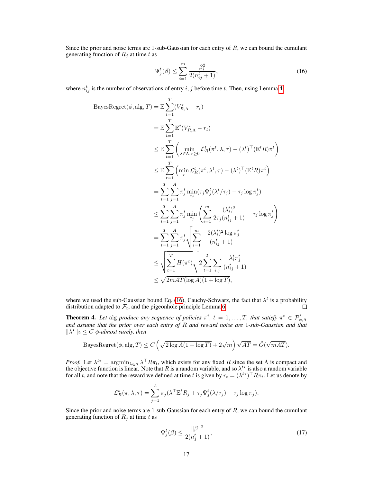Since the prior and noise terms are 1-sub-Gaussian for each entry of  $R$ , we can bound the cumulant generating function of  $R_j$  at time t as

<span id="page-3-0"></span>
$$
\Psi_j^t(\beta) \le \sum_{i=1}^m \frac{\beta_i^2}{2(n_{ij}^t + 1)},\tag{16}
$$

where  $n_{ij}^t$  is the number of observations of entry i, j before time t. Then, using Lemma [4](#page--1-9)

$$
\begin{split} \text{BayesRegret}(\phi, \text{alg}, T) &= \mathbb{E} \sum_{t=1}^{T} (V_{R,\Lambda}^{\star} - r_{t}) \\ &= \mathbb{E} \sum_{t=1}^{T} \mathbb{E}^{t} (V_{R,\Lambda}^{\star} - r_{t}) \\ &\leq \mathbb{E} \sum_{t=1}^{T} \left( \min_{\lambda \in \Lambda, \tau \geq 0} \mathcal{L}_{R}^{t} (\pi^{t}, \lambda, \tau) - (\lambda^{t})^{\top} (\mathbb{E}^{t} R) \pi^{t} \right) \\ &\leq \mathbb{E} \sum_{t=1}^{T} \left( \min_{\tau} \mathcal{L}_{R}^{t} (\pi^{t}, \lambda^{t}, \tau) - (\lambda^{t})^{\top} (\mathbb{E}^{t} R) \pi^{t} \right) \\ &= \sum_{t=1}^{T} \sum_{j=1}^{A} \pi_{j}^{t} \min_{\tau_{j}} (\tau_{j} \Psi_{j}^{t} (\lambda^{t}/\tau_{j}) - \tau_{j} \log \pi_{j}^{t}) \\ &\leq \sum_{t=1}^{T} \sum_{j=1}^{A} \pi_{j}^{t} \min_{\tau_{j}} \left( \sum_{i=1}^{m} \frac{(\lambda_{i}^{t})^{2}}{2\tau_{j} (n_{i,j}^{t} + 1)} - \tau_{j} \log \pi_{j}^{t} \right) \\ &= \sum_{t=1}^{T} \sum_{j=1}^{A} \pi_{j}^{t} \sqrt{\sum_{i=1}^{m} \frac{-2(\lambda_{i}^{t})^{2} \log \pi_{j}^{t}}{(n_{i,j}^{t} + 1)}} \\ &\leq \sqrt{\sum_{t=1}^{T} H(\pi^{t})} \sqrt{\frac{2 \sum_{t=1}^{T} \sum_{i,j} \frac{\lambda_{i}^{t} \pi_{j}^{t}}{(n_{i,j}^{t} + 1)}}{2 \sum_{t=1}^{T} \sum_{i,j} \frac{\lambda_{i}^{t} \pi_{j}^{t}}{(n_{i,j}^{t} + 1)}} \\ &\leq \sqrt{2mAT(\log A)(1 + \log T)}, \end{split}
$$

where we used the sub-Gaussian bound Eq. [\(16\)](#page-3-0), Cauchy-Schwarz, the fact that  $\lambda^t$  is a probability distribution adapted to  $\mathcal{F}_t$ , and the pigeonhole principle Lemma [6.](#page-2-0)  $\Box$ 

**Theorem 4.** Let alg produce any sequence of policies  $\pi^t$ ,  $t = 1, ..., T$ , that satisfy  $\pi^t \in \mathcal{P}_{\phi,\Lambda}^t$ <br>and assume that the prior over each entry of R and reward noise are 1-sub-Gaussian and that  $\|\lambda^*\|_2 \leq C \phi$ -almost surely, then

$$
\text{BayesRegret}(\phi, \text{alg}, T) \le C \left( \sqrt{2 \log A (1 + \log T)} + 2\sqrt{m} \right) \sqrt{AT} = \tilde{O}(\sqrt{mAT}).
$$

*Proof.* Let  $\lambda^{t*} = \argmin_{\lambda \in \Lambda} \lambda^{\top} R \pi_t$ , which exists for any fixed R since the set  $\Lambda$  is compact and the objective function is linear. Note that R is a random variable, and so  $\lambda^{t*}$  is also a random variable for all t, and note that the reward we defined at time t is given by  $r_t = (\lambda^{t*})^\top R \pi_t$ . Let us denote by

$$
\mathcal{L}_R^t(\pi, \lambda, \tau) = \sum_{j=1}^A \pi_j(\lambda^\top \mathbb{E}^t R_j + \tau_j \Psi_j^t(\lambda/\tau_j) - \tau_j \log \pi_j).
$$

Since the prior and noise terms are 1-sub-Gaussian for each entry of  $R$ , we can bound the cumulant generating function of  $R_j$  at time t as

<span id="page-3-1"></span>
$$
\Psi_j^t(\beta) \le \frac{\|\beta\|^2}{2(n_j^t + 1)},\tag{17}
$$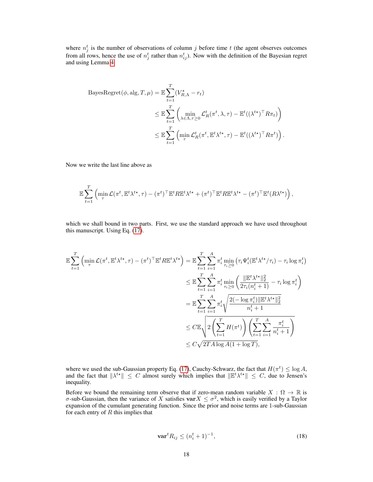where  $n_j^t$  is the number of observations of column j before time t (the agent observes outcomes from all rows, hence the use of  $n_j^t$  rather than  $n_{ij}^t$ ). Now with the definition of the Bayesian regret and using Lemma [4](#page--1-9)

BayesRegret
$$
(\phi, \text{alg}, T, \mu)
$$
 =  $\mathbb{E} \sum_{t=1}^{T} (V_{R,\Lambda}^* - r_t)$   
\n $\leq \mathbb{E} \sum_{t=1}^{T} \left( \min_{\lambda \in \Lambda, \tau \geq 0} \mathcal{L}_R^t (\pi^t, \lambda, \tau) - \mathbb{E}^t ((\lambda^{t*})^{\top} R \pi_t) \right)$   
\n $\leq \mathbb{E} \sum_{t=1}^{T} \left( \min_{\tau} \mathcal{L}_R^t (\pi^t, \mathbb{E}^t \lambda^{t*}, \tau) - \mathbb{E}^t ((\lambda^{t*})^{\top} R \pi^t) \right).$ 

Now we write the last line above as

$$
\mathbb{E}\sum_{t=1}^T \left( \min_{\tau} \mathcal{L}(\pi^t, \mathbb{E}^t \lambda^{t\star}, \tau) - (\pi^t)^{\top} \mathbb{E}^t R \mathbb{E}^t \lambda^{t\star} + (\pi^t)^{\top} \mathbb{E}^t R \mathbb{E}^t \lambda^{t\star} - (\pi^t)^{\top} \mathbb{E}^t (R \lambda^{t\star}) \right),
$$

which we shall bound in two parts. First, we use the standard approach we have used throughout this manuscript. Using Eq. [\(17\)](#page-3-1).

$$
\mathbb{E}\sum_{t=1}^{T} \left(\min_{\tau} \mathcal{L}(\pi^{t}, \mathbb{E}^{t}\lambda^{t\star}, \tau) - (\pi^{t})^{\top} \mathbb{E}^{t} R \mathbb{E}^{t}\lambda^{t\star}\right) = \mathbb{E}\sum_{t=1}^{T} \sum_{i=1}^{A} \pi_{i}^{t} \min_{\tau_{i}\geq 0} \left(\tau_{i} \Psi_{i}^{t} (\mathbb{E}^{t}\lambda^{t\star}/\tau_{i}) - \tau_{i} \log \pi_{i}^{t}\right)
$$
\n
$$
\leq \mathbb{E}\sum_{t=1}^{T} \sum_{i=1}^{A} \pi_{i}^{t} \min_{\tau_{i}\geq 0} \left(\frac{\|\mathbb{E}^{t}\lambda^{t\star}\|_{2}^{2}}{2\tau_{i}(n_{i}^{t}+1)} - \tau_{i} \log \pi_{i}^{t}\right)
$$
\n
$$
= \mathbb{E}\sum_{t=1}^{T} \sum_{i=1}^{A} \pi_{i}^{t} \sqrt{\frac{2(-\log \pi_{i}^{t})\|\mathbb{E}^{t}\lambda^{t\star}\|_{2}^{2}}{n_{i}^{t}+1}}
$$
\n
$$
\leq C \mathbb{E}\sqrt{2\left(\sum_{t=1}^{T} H(\pi^{t})\right)\left(\sum_{t=1}^{T} \sum_{i=1}^{A} \pi_{i}^{t} + 1\right)}
$$
\n
$$
\leq C\sqrt{2TA\log A(1+\log T)},
$$

where we used the sub-Gaussian property Eq. [\(17\)](#page-3-1), Cauchy-Schwarz, the fact that  $H(\pi^t) \leq \log A$ , and the fact that  $\|\lambda^{t*}\| \leq C$  almost surely which implies that  $\|\mathbb{E}^t \lambda^{t*}\| \leq C$ , due to Jensen's inequality.

Before we bound the remaining term observe that if zero-mean random variable  $X : \Omega \to \mathbb{R}$  is  $\sigma$ -sub-Gaussian, then the variance of X satisfies  $var X \leq \sigma^2$ , which is easily verified by a Taylor expansion of the cumulant generating function. Since the prior and noise terms are 1-sub-Gaussian for each entry of  $R$  this implies that

<span id="page-4-0"></span>
$$
\mathbf{var}^t R_{ij} \le (n_i^t + 1)^{-1},\tag{18}
$$